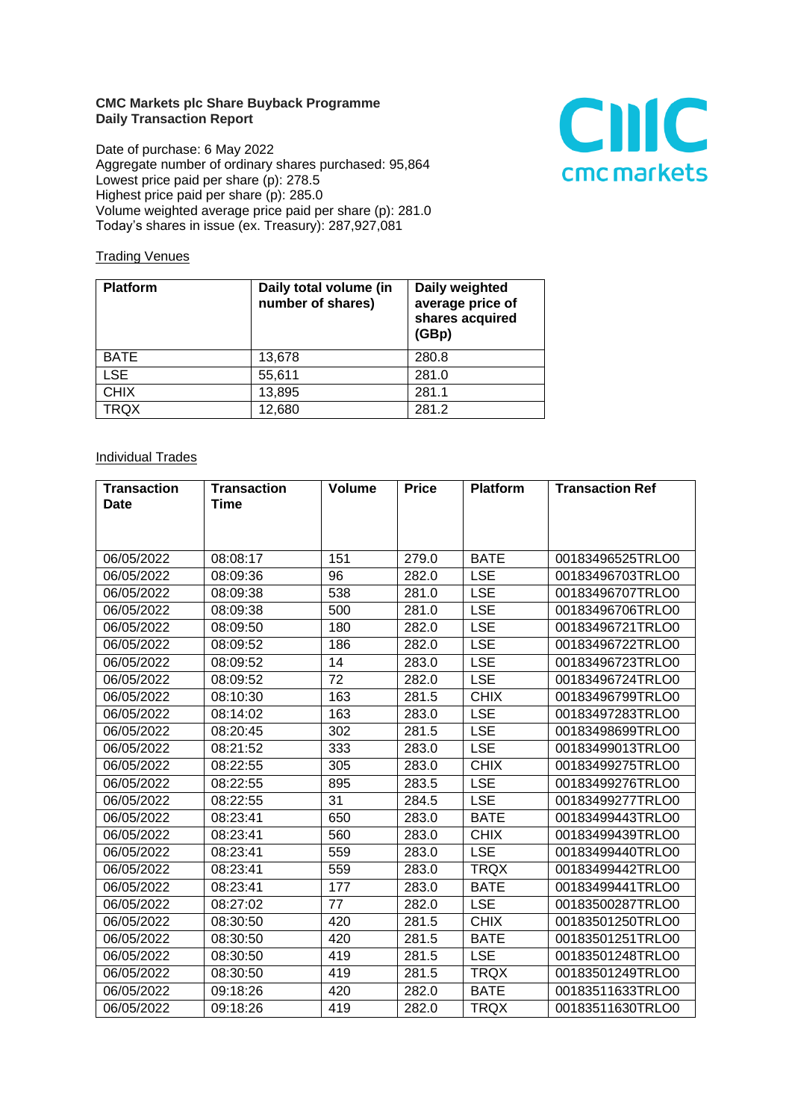## **CMC Markets plc Share Buyback Programme Daily Transaction Report**

Date of purchase: 6 May 2022 Aggregate number of ordinary shares purchased: 95,864 Lowest price paid per share (p): 278.5 Highest price paid per share (p): 285.0 Volume weighted average price paid per share (p): 281.0 Today's shares in issue (ex. Treasury): 287,927,081



## **Trading Venues**

| <b>Platform</b> | Daily total volume (in<br>number of shares) | Daily weighted<br>average price of<br>shares acquired<br>(GBp) |
|-----------------|---------------------------------------------|----------------------------------------------------------------|
| <b>BATE</b>     | 13,678                                      | 280.8                                                          |
| <b>LSE</b>      | 55,611                                      | 281.0                                                          |
| <b>CHIX</b>     | 13,895                                      | 281.1                                                          |
| <b>TRQX</b>     | 12,680                                      | 281.2                                                          |

## **Individual Trades**

| <b>Transaction</b> | <b>Transaction</b> | Volume | <b>Price</b> | <b>Platform</b> | <b>Transaction Ref</b> |
|--------------------|--------------------|--------|--------------|-----------------|------------------------|
| <b>Date</b>        | Time               |        |              |                 |                        |
|                    |                    |        |              |                 |                        |
|                    |                    |        |              |                 |                        |
| 06/05/2022         | 08:08:17           | 151    | 279.0        | <b>BATE</b>     | 00183496525TRLO0       |
| 06/05/2022         | 08:09:36           | 96     | 282.0        | <b>LSE</b>      | 00183496703TRLO0       |
| 06/05/2022         | 08:09:38           | 538    | 281.0        | <b>LSE</b>      | 00183496707TRLO0       |
| 06/05/2022         | 08:09:38           | 500    | 281.0        | <b>LSE</b>      | 00183496706TRLO0       |
| 06/05/2022         | 08:09:50           | 180    | 282.0        | <b>LSE</b>      | 00183496721TRLO0       |
| 06/05/2022         | 08:09:52           | 186    | 282.0        | <b>LSE</b>      | 00183496722TRLO0       |
| 06/05/2022         | 08:09:52           | 14     | 283.0        | <b>LSE</b>      | 00183496723TRLO0       |
| 06/05/2022         | 08:09:52           | 72     | 282.0        | <b>LSE</b>      | 00183496724TRLO0       |
| 06/05/2022         | 08:10:30           | 163    | 281.5        | <b>CHIX</b>     | 00183496799TRLO0       |
| 06/05/2022         | 08:14:02           | 163    | 283.0        | <b>LSE</b>      | 00183497283TRLO0       |
| 06/05/2022         | 08:20:45           | 302    | 281.5        | <b>LSE</b>      | 00183498699TRLO0       |
| 06/05/2022         | 08:21:52           | 333    | 283.0        | <b>LSE</b>      | 00183499013TRLO0       |
| 06/05/2022         | 08:22:55           | 305    | 283.0        | <b>CHIX</b>     | 00183499275TRLO0       |
| 06/05/2022         | 08:22:55           | 895    | 283.5        | <b>LSE</b>      | 00183499276TRLO0       |
| 06/05/2022         | 08:22:55           | 31     | 284.5        | <b>LSE</b>      | 00183499277TRLO0       |
| 06/05/2022         | 08:23:41           | 650    | 283.0        | <b>BATE</b>     | 00183499443TRLO0       |
| 06/05/2022         | 08:23:41           | 560    | 283.0        | <b>CHIX</b>     | 00183499439TRLO0       |
| 06/05/2022         | 08:23:41           | 559    | 283.0        | <b>LSE</b>      | 00183499440TRLO0       |
| 06/05/2022         | 08:23:41           | 559    | 283.0        | <b>TRQX</b>     | 00183499442TRLO0       |
| 06/05/2022         | 08:23:41           | 177    | 283.0        | <b>BATE</b>     | 00183499441TRLO0       |
| 06/05/2022         | 08:27:02           | 77     | 282.0        | <b>LSE</b>      | 00183500287TRLO0       |
| 06/05/2022         | 08:30:50           | 420    | 281.5        | <b>CHIX</b>     | 00183501250TRLO0       |
| 06/05/2022         | 08:30:50           | 420    | 281.5        | <b>BATE</b>     | 00183501251TRLO0       |
| 06/05/2022         | 08:30:50           | 419    | 281.5        | <b>LSE</b>      | 00183501248TRLO0       |
| 06/05/2022         | 08:30:50           | 419    | 281.5        | <b>TRQX</b>     | 00183501249TRLO0       |
| 06/05/2022         | 09:18:26           | 420    | 282.0        | <b>BATE</b>     | 00183511633TRLO0       |
| 06/05/2022         | 09:18:26           | 419    | 282.0        | <b>TRQX</b>     | 00183511630TRLO0       |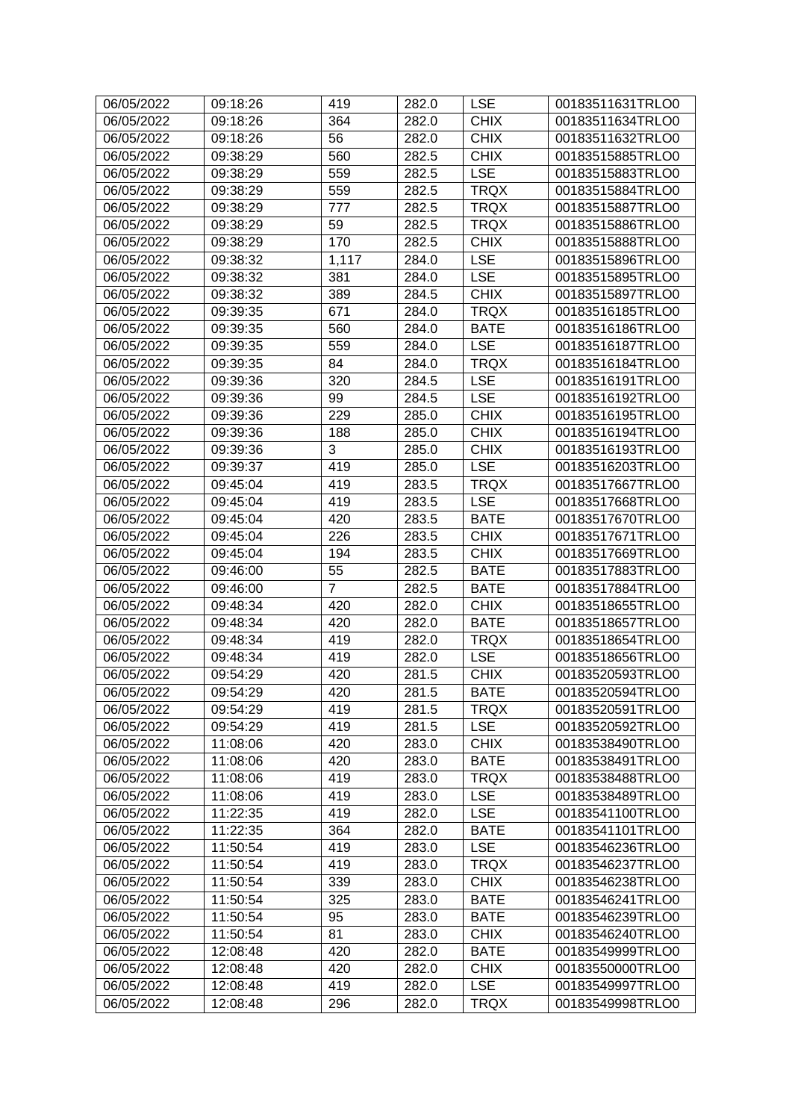| 06/05/2022 | 09:18:26 | 419            | 282.0 | <b>LSE</b>  | 00183511631TRLO0 |
|------------|----------|----------------|-------|-------------|------------------|
| 06/05/2022 | 09:18:26 | 364            | 282.0 | <b>CHIX</b> | 00183511634TRLO0 |
| 06/05/2022 | 09:18:26 | 56             | 282.0 | <b>CHIX</b> | 00183511632TRLO0 |
| 06/05/2022 | 09:38:29 | 560            | 282.5 | <b>CHIX</b> | 00183515885TRLO0 |
| 06/05/2022 | 09:38:29 | 559            | 282.5 | <b>LSE</b>  | 00183515883TRLO0 |
| 06/05/2022 | 09:38:29 | 559            | 282.5 | <b>TRQX</b> | 00183515884TRLO0 |
| 06/05/2022 | 09:38:29 | 777            | 282.5 | <b>TRQX</b> | 00183515887TRLO0 |
| 06/05/2022 | 09:38:29 | 59             | 282.5 | <b>TRQX</b> | 00183515886TRLO0 |
| 06/05/2022 | 09:38:29 | 170            | 282.5 | <b>CHIX</b> | 00183515888TRLO0 |
| 06/05/2022 | 09:38:32 | 1,117          | 284.0 | <b>LSE</b>  | 00183515896TRLO0 |
| 06/05/2022 | 09:38:32 | 381            | 284.0 | <b>LSE</b>  | 00183515895TRLO0 |
| 06/05/2022 | 09:38:32 | 389            | 284.5 | <b>CHIX</b> | 00183515897TRLO0 |
| 06/05/2022 | 09:39:35 | 671            | 284.0 | <b>TRQX</b> | 00183516185TRLO0 |
| 06/05/2022 | 09:39:35 | 560            | 284.0 | <b>BATE</b> | 00183516186TRLO0 |
| 06/05/2022 | 09:39:35 | 559            | 284.0 | <b>LSE</b>  | 00183516187TRLO0 |
| 06/05/2022 | 09:39:35 | 84             | 284.0 | <b>TRQX</b> | 00183516184TRLO0 |
| 06/05/2022 | 09:39:36 | 320            | 284.5 | <b>LSE</b>  | 00183516191TRLO0 |
| 06/05/2022 | 09:39:36 | 99             | 284.5 | <b>LSE</b>  | 00183516192TRLO0 |
| 06/05/2022 | 09:39:36 | 229            | 285.0 | <b>CHIX</b> | 00183516195TRLO0 |
| 06/05/2022 | 09:39:36 | 188            | 285.0 | <b>CHIX</b> | 00183516194TRLO0 |
| 06/05/2022 | 09:39:36 | 3              | 285.0 | <b>CHIX</b> | 00183516193TRLO0 |
| 06/05/2022 | 09:39:37 | 419            | 285.0 | <b>LSE</b>  | 00183516203TRLO0 |
| 06/05/2022 | 09:45:04 | 419            | 283.5 | <b>TRQX</b> | 00183517667TRLO0 |
| 06/05/2022 | 09:45:04 | 419            | 283.5 | <b>LSE</b>  | 00183517668TRLO0 |
| 06/05/2022 | 09:45:04 | 420            | 283.5 | <b>BATE</b> | 00183517670TRLO0 |
| 06/05/2022 | 09:45:04 | 226            | 283.5 | <b>CHIX</b> | 00183517671TRLO0 |
| 06/05/2022 | 09:45:04 | 194            | 283.5 | <b>CHIX</b> | 00183517669TRLO0 |
| 06/05/2022 | 09:46:00 | 55             | 282.5 | <b>BATE</b> | 00183517883TRLO0 |
| 06/05/2022 | 09:46:00 | $\overline{7}$ | 282.5 | <b>BATE</b> | 00183517884TRLO0 |
| 06/05/2022 | 09:48:34 | 420            | 282.0 | <b>CHIX</b> | 00183518655TRLO0 |
| 06/05/2022 | 09:48:34 | 420            | 282.0 | <b>BATE</b> | 00183518657TRLO0 |
| 06/05/2022 | 09:48:34 | 419            | 282.0 | <b>TRQX</b> | 00183518654TRLO0 |
| 06/05/2022 | 09:48:34 | 419            | 282.0 | <b>LSE</b>  | 00183518656TRLO0 |
| 06/05/2022 | 09:54:29 | 420            | 281.5 | <b>CHIX</b> | 00183520593TRLO0 |
| 06/05/2022 | 09:54:29 | 420            | 281.5 | <b>BATE</b> | 00183520594TRLO0 |
| 06/05/2022 | 09:54:29 | 419            | 281.5 | <b>TRQX</b> | 00183520591TRLO0 |
| 06/05/2022 | 09:54:29 | 419            | 281.5 | <b>LSE</b>  | 00183520592TRLO0 |
| 06/05/2022 | 11:08:06 | 420            | 283.0 | <b>CHIX</b> | 00183538490TRLO0 |
| 06/05/2022 | 11:08:06 | 420            | 283.0 | <b>BATE</b> | 00183538491TRLO0 |
| 06/05/2022 | 11:08:06 | 419            | 283.0 | <b>TRQX</b> | 00183538488TRLO0 |
| 06/05/2022 | 11:08:06 | 419            | 283.0 | <b>LSE</b>  | 00183538489TRLO0 |
| 06/05/2022 | 11:22:35 | 419            | 282.0 | <b>LSE</b>  | 00183541100TRLO0 |
| 06/05/2022 | 11:22:35 | 364            | 282.0 | <b>BATE</b> | 00183541101TRLO0 |
| 06/05/2022 | 11:50:54 | 419            | 283.0 | <b>LSE</b>  | 00183546236TRLO0 |
| 06/05/2022 | 11:50:54 | 419            | 283.0 | <b>TRQX</b> | 00183546237TRLO0 |
| 06/05/2022 | 11:50:54 | 339            | 283.0 | <b>CHIX</b> | 00183546238TRLO0 |
| 06/05/2022 | 11:50:54 | 325            | 283.0 | <b>BATE</b> | 00183546241TRLO0 |
| 06/05/2022 | 11:50:54 | 95             | 283.0 | <b>BATE</b> | 00183546239TRLO0 |
| 06/05/2022 | 11:50:54 | 81             | 283.0 | <b>CHIX</b> | 00183546240TRLO0 |
| 06/05/2022 | 12:08:48 | 420            | 282.0 | <b>BATE</b> | 00183549999TRLO0 |
| 06/05/2022 | 12:08:48 | 420            | 282.0 | <b>CHIX</b> | 00183550000TRLO0 |
| 06/05/2022 | 12:08:48 | 419            | 282.0 | <b>LSE</b>  | 00183549997TRLO0 |
| 06/05/2022 | 12:08:48 | 296            | 282.0 | <b>TRQX</b> | 00183549998TRLO0 |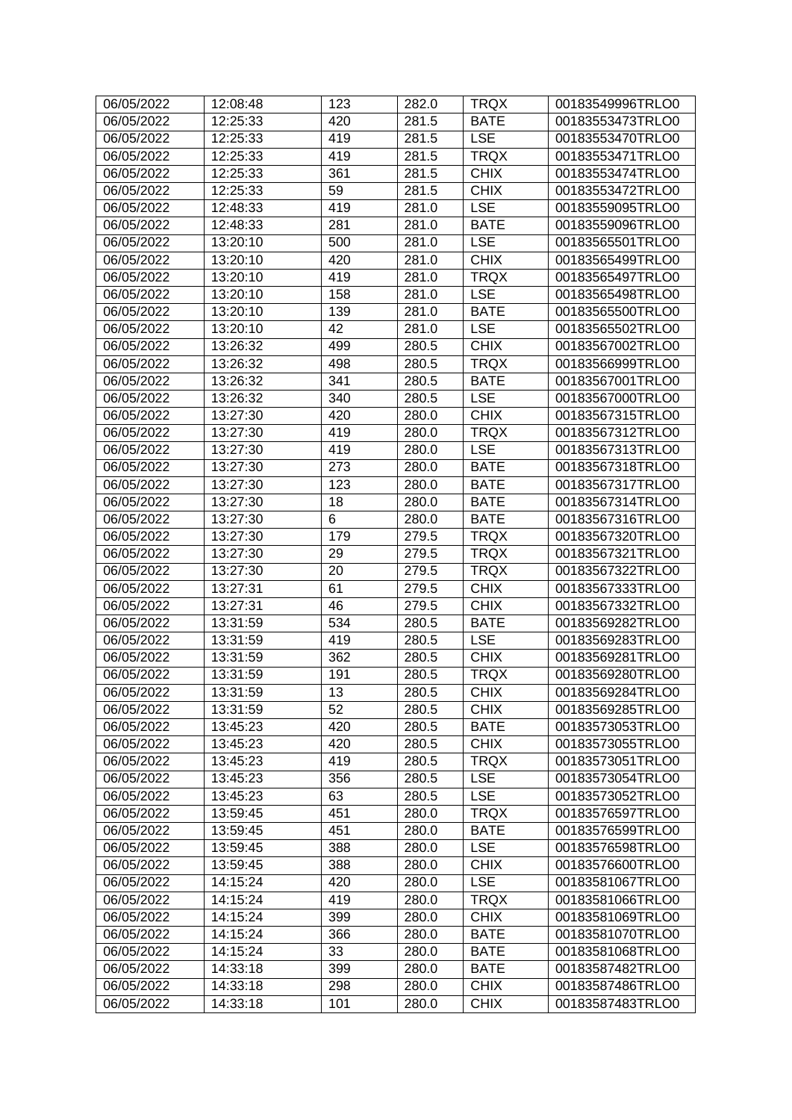| 06/05/2022 | 12:08:48 | 123 | 282.0 | <b>TRQX</b> | 00183549996TRLO0 |
|------------|----------|-----|-------|-------------|------------------|
| 06/05/2022 | 12:25:33 | 420 | 281.5 | <b>BATE</b> | 00183553473TRLO0 |
| 06/05/2022 | 12:25:33 | 419 | 281.5 | <b>LSE</b>  | 00183553470TRLO0 |
| 06/05/2022 | 12:25:33 | 419 | 281.5 | <b>TRQX</b> | 00183553471TRLO0 |
| 06/05/2022 | 12:25:33 | 361 | 281.5 | <b>CHIX</b> | 00183553474TRLO0 |
| 06/05/2022 | 12:25:33 | 59  | 281.5 | <b>CHIX</b> | 00183553472TRLO0 |
| 06/05/2022 | 12:48:33 | 419 | 281.0 | <b>LSE</b>  | 00183559095TRLO0 |
| 06/05/2022 | 12:48:33 | 281 | 281.0 | <b>BATE</b> | 00183559096TRLO0 |
| 06/05/2022 | 13:20:10 | 500 | 281.0 | <b>LSE</b>  | 00183565501TRLO0 |
| 06/05/2022 | 13:20:10 | 420 | 281.0 | <b>CHIX</b> | 00183565499TRLO0 |
| 06/05/2022 | 13:20:10 | 419 | 281.0 | <b>TRQX</b> | 00183565497TRLO0 |
| 06/05/2022 | 13:20:10 | 158 | 281.0 | <b>LSE</b>  | 00183565498TRLO0 |
| 06/05/2022 | 13:20:10 | 139 | 281.0 | <b>BATE</b> | 00183565500TRLO0 |
| 06/05/2022 | 13:20:10 | 42  | 281.0 | <b>LSE</b>  | 00183565502TRLO0 |
| 06/05/2022 | 13:26:32 | 499 | 280.5 | <b>CHIX</b> | 00183567002TRLO0 |
| 06/05/2022 | 13:26:32 | 498 | 280.5 | <b>TRQX</b> | 00183566999TRLO0 |
| 06/05/2022 | 13:26:32 | 341 | 280.5 | <b>BATE</b> | 00183567001TRLO0 |
| 06/05/2022 | 13:26:32 | 340 | 280.5 | <b>LSE</b>  | 00183567000TRLO0 |
| 06/05/2022 | 13:27:30 | 420 | 280.0 | <b>CHIX</b> | 00183567315TRLO0 |
| 06/05/2022 | 13:27:30 | 419 | 280.0 | <b>TRQX</b> | 00183567312TRLO0 |
| 06/05/2022 | 13:27:30 | 419 | 280.0 | <b>LSE</b>  | 00183567313TRLO0 |
| 06/05/2022 | 13:27:30 | 273 | 280.0 | <b>BATE</b> | 00183567318TRLO0 |
| 06/05/2022 | 13:27:30 | 123 | 280.0 | <b>BATE</b> | 00183567317TRLO0 |
| 06/05/2022 | 13:27:30 | 18  | 280.0 | <b>BATE</b> | 00183567314TRLO0 |
| 06/05/2022 | 13:27:30 | 6   | 280.0 | <b>BATE</b> | 00183567316TRLO0 |
| 06/05/2022 | 13:27:30 | 179 | 279.5 | <b>TRQX</b> | 00183567320TRLO0 |
| 06/05/2022 | 13:27:30 | 29  | 279.5 | <b>TRQX</b> | 00183567321TRLO0 |
| 06/05/2022 | 13:27:30 | 20  | 279.5 | <b>TRQX</b> | 00183567322TRLO0 |
| 06/05/2022 | 13:27:31 | 61  | 279.5 | <b>CHIX</b> | 00183567333TRLO0 |
| 06/05/2022 | 13:27:31 | 46  | 279.5 | <b>CHIX</b> | 00183567332TRLO0 |
| 06/05/2022 | 13:31:59 | 534 | 280.5 | <b>BATE</b> | 00183569282TRLO0 |
| 06/05/2022 | 13:31:59 | 419 | 280.5 | <b>LSE</b>  | 00183569283TRLO0 |
| 06/05/2022 | 13:31:59 | 362 | 280.5 | <b>CHIX</b> | 00183569281TRLO0 |
| 06/05/2022 | 13:31:59 | 191 | 280.5 | <b>TRQX</b> | 00183569280TRLO0 |
| 06/05/2022 | 13:31:59 | 13  | 280.5 | <b>CHIX</b> | 00183569284TRLO0 |
| 06/05/2022 | 13:31:59 | 52  | 280.5 | <b>CHIX</b> | 00183569285TRLO0 |
| 06/05/2022 | 13:45:23 | 420 | 280.5 | <b>BATE</b> | 00183573053TRLO0 |
| 06/05/2022 | 13:45:23 | 420 | 280.5 | <b>CHIX</b> | 00183573055TRLO0 |
| 06/05/2022 | 13:45:23 | 419 | 280.5 | <b>TRQX</b> | 00183573051TRLO0 |
| 06/05/2022 | 13:45:23 | 356 | 280.5 | <b>LSE</b>  | 00183573054TRLO0 |
| 06/05/2022 | 13:45:23 | 63  | 280.5 | <b>LSE</b>  | 00183573052TRLO0 |
| 06/05/2022 | 13:59:45 | 451 | 280.0 | <b>TRQX</b> | 00183576597TRLO0 |
| 06/05/2022 | 13:59:45 | 451 | 280.0 | <b>BATE</b> | 00183576599TRLO0 |
| 06/05/2022 | 13:59:45 | 388 | 280.0 | <b>LSE</b>  | 00183576598TRLO0 |
| 06/05/2022 | 13:59:45 | 388 | 280.0 | <b>CHIX</b> | 00183576600TRLO0 |
| 06/05/2022 | 14:15:24 | 420 | 280.0 | <b>LSE</b>  | 00183581067TRLO0 |
| 06/05/2022 | 14:15:24 | 419 | 280.0 | <b>TRQX</b> | 00183581066TRLO0 |
| 06/05/2022 | 14:15:24 | 399 | 280.0 | <b>CHIX</b> | 00183581069TRLO0 |
| 06/05/2022 | 14:15:24 | 366 | 280.0 | <b>BATE</b> | 00183581070TRLO0 |
| 06/05/2022 | 14:15:24 | 33  | 280.0 | <b>BATE</b> | 00183581068TRLO0 |
| 06/05/2022 | 14:33:18 | 399 | 280.0 | <b>BATE</b> | 00183587482TRLO0 |
| 06/05/2022 | 14:33:18 | 298 | 280.0 | <b>CHIX</b> | 00183587486TRLO0 |
| 06/05/2022 | 14:33:18 | 101 | 280.0 | <b>CHIX</b> | 00183587483TRLO0 |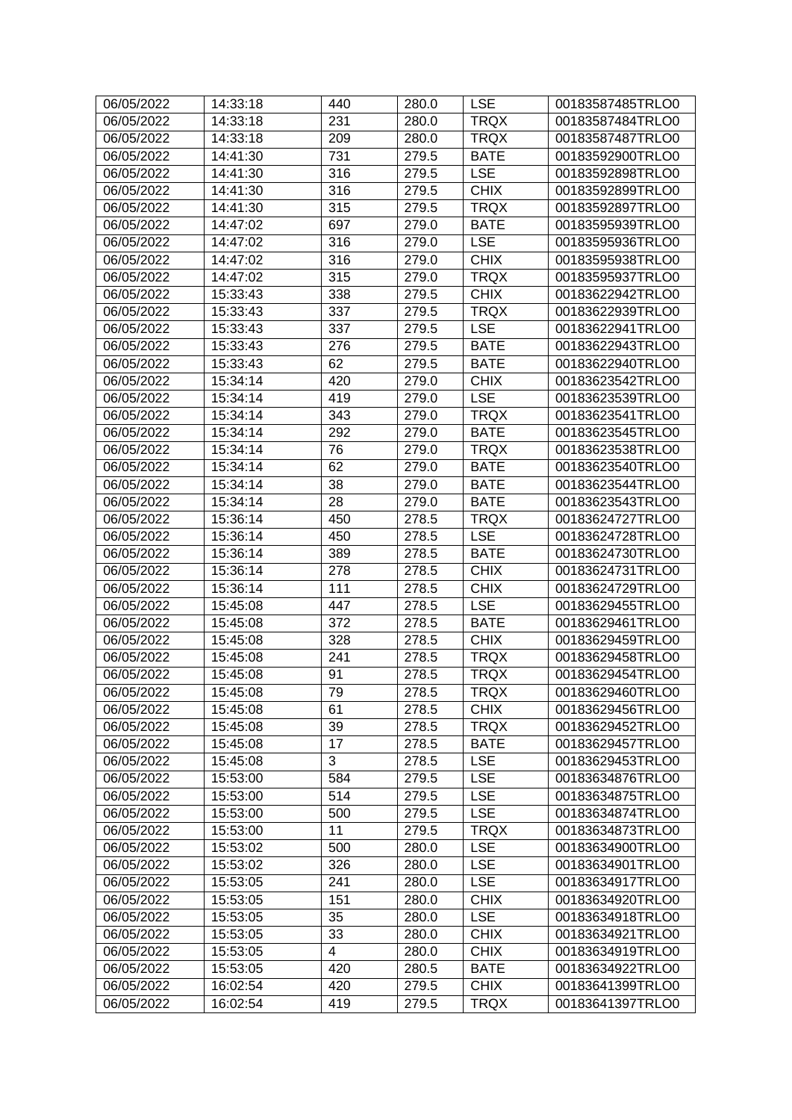| 06/05/2022 | 14:33:18 | 440 | 280.0 | <b>LSE</b>  | 00183587485TRLO0                     |
|------------|----------|-----|-------|-------------|--------------------------------------|
| 06/05/2022 | 14:33:18 | 231 | 280.0 | <b>TRQX</b> | 00183587484TRLO0                     |
| 06/05/2022 | 14:33:18 | 209 | 280.0 | <b>TRQX</b> | 00183587487TRLO0                     |
| 06/05/2022 | 14:41:30 | 731 | 279.5 | <b>BATE</b> | 00183592900TRLO0                     |
| 06/05/2022 | 14:41:30 | 316 | 279.5 | <b>LSE</b>  | 00183592898TRLO0                     |
| 06/05/2022 | 14:41:30 | 316 | 279.5 | <b>CHIX</b> | 00183592899TRLO0                     |
| 06/05/2022 | 14:41:30 | 315 | 279.5 | <b>TRQX</b> | 00183592897TRLO0                     |
| 06/05/2022 | 14:47:02 | 697 | 279.0 | <b>BATE</b> | 00183595939TRLO0                     |
| 06/05/2022 | 14:47:02 | 316 | 279.0 | <b>LSE</b>  | 00183595936TRLO0                     |
| 06/05/2022 | 14:47:02 | 316 | 279.0 | <b>CHIX</b> | 00183595938TRLO0                     |
| 06/05/2022 | 14:47:02 | 315 | 279.0 | <b>TRQX</b> | 00183595937TRLO0                     |
| 06/05/2022 | 15:33:43 | 338 | 279.5 | <b>CHIX</b> | 00183622942TRLO0                     |
| 06/05/2022 | 15:33:43 | 337 | 279.5 | <b>TRQX</b> | 00183622939TRLO0                     |
| 06/05/2022 | 15:33:43 | 337 | 279.5 | <b>LSE</b>  | 00183622941TRLO0                     |
| 06/05/2022 | 15:33:43 | 276 | 279.5 | <b>BATE</b> | 00183622943TRLO0                     |
| 06/05/2022 | 15:33:43 | 62  | 279.5 | <b>BATE</b> | 00183622940TRLO0                     |
| 06/05/2022 | 15:34:14 | 420 | 279.0 | <b>CHIX</b> | 00183623542TRLO0                     |
| 06/05/2022 | 15:34:14 | 419 | 279.0 | <b>LSE</b>  | 00183623539TRLO0                     |
| 06/05/2022 | 15:34:14 | 343 | 279.0 | <b>TRQX</b> | 00183623541TRLO0                     |
| 06/05/2022 | 15:34:14 | 292 | 279.0 | <b>BATE</b> | 00183623545TRLO0                     |
| 06/05/2022 | 15:34:14 | 76  | 279.0 | <b>TRQX</b> | 00183623538TRLO0                     |
| 06/05/2022 | 15:34:14 | 62  | 279.0 | <b>BATE</b> | 00183623540TRLO0                     |
| 06/05/2022 | 15:34:14 | 38  | 279.0 | <b>BATE</b> | 00183623544TRLO0                     |
| 06/05/2022 | 15:34:14 | 28  | 279.0 | <b>BATE</b> | 00183623543TRLO0                     |
| 06/05/2022 | 15:36:14 | 450 | 278.5 | <b>TRQX</b> | 00183624727TRLO0                     |
| 06/05/2022 | 15:36:14 | 450 | 278.5 | <b>LSE</b>  | 00183624728TRLO0                     |
| 06/05/2022 | 15:36:14 | 389 | 278.5 | <b>BATE</b> | 00183624730TRLO0                     |
| 06/05/2022 | 15:36:14 | 278 | 278.5 | <b>CHIX</b> | 00183624731TRLO0                     |
| 06/05/2022 | 15:36:14 | 111 | 278.5 | <b>CHIX</b> | 00183624729TRLO0                     |
| 06/05/2022 | 15:45:08 | 447 | 278.5 | <b>LSE</b>  | 00183629455TRLO0                     |
| 06/05/2022 | 15:45:08 | 372 | 278.5 | <b>BATE</b> | 00183629461TRLO0                     |
| 06/05/2022 | 15:45:08 | 328 | 278.5 | <b>CHIX</b> | 00183629459TRLO0                     |
| 06/05/2022 | 15:45:08 | 241 | 278.5 | <b>TRQX</b> | 00183629458TRLO0                     |
| 06/05/2022 | 15:45:08 | 91  | 278.5 | <b>TRQX</b> | 00183629454TRLO0                     |
| 06/05/2022 | 15:45:08 | 79  | 278.5 | <b>TRQX</b> | 00183629460TRLO0                     |
| 06/05/2022 | 15:45:08 | 61  | 278.5 | <b>CHIX</b> | 00183629456TRLO0                     |
| 06/05/2022 | 15:45:08 | 39  | 278.5 | <b>TRQX</b> | 00183629452TRLO0                     |
| 06/05/2022 | 15:45:08 | 17  | 278.5 | <b>BATE</b> | 00183629457TRLO0                     |
| 06/05/2022 | 15:45:08 | 3   | 278.5 | <b>LSE</b>  | 00183629453TRLO0                     |
| 06/05/2022 | 15:53:00 | 584 | 279.5 | <b>LSE</b>  | 00183634876TRLO0                     |
| 06/05/2022 | 15:53:00 | 514 | 279.5 | <b>LSE</b>  | 00183634875TRLO0                     |
|            | 15:53:00 |     |       | <b>LSE</b>  | 00183634874TRLO0                     |
| 06/05/2022 |          | 500 | 279.5 | <b>TRQX</b> |                                      |
| 06/05/2022 | 15:53:00 | 11  | 279.5 |             | 00183634873TRLO0<br>00183634900TRLO0 |
| 06/05/2022 | 15:53:02 | 500 | 280.0 | <b>LSE</b>  |                                      |
| 06/05/2022 | 15:53:02 | 326 | 280.0 | <b>LSE</b>  | 00183634901TRLO0                     |
| 06/05/2022 | 15:53:05 | 241 | 280.0 | <b>LSE</b>  | 00183634917TRLO0                     |
| 06/05/2022 | 15:53:05 | 151 | 280.0 | <b>CHIX</b> | 00183634920TRLO0                     |
| 06/05/2022 | 15:53:05 | 35  | 280.0 | <b>LSE</b>  | 00183634918TRLO0                     |
| 06/05/2022 | 15:53:05 | 33  | 280.0 | <b>CHIX</b> | 00183634921TRLO0                     |
| 06/05/2022 | 15:53:05 | 4   | 280.0 | <b>CHIX</b> | 00183634919TRLO0                     |
| 06/05/2022 | 15:53:05 | 420 | 280.5 | <b>BATE</b> | 00183634922TRLO0                     |
| 06/05/2022 | 16:02:54 | 420 | 279.5 | <b>CHIX</b> | 00183641399TRLO0                     |
| 06/05/2022 | 16:02:54 | 419 | 279.5 | TRQX        | 00183641397TRLO0                     |